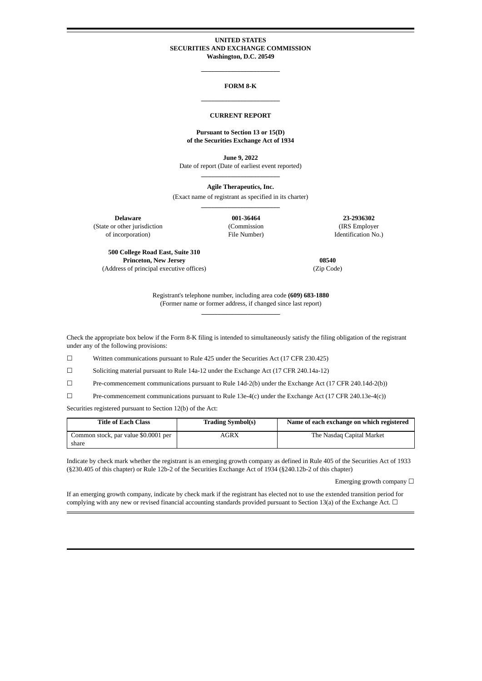### **UNITED STATES SECURITIES AND EXCHANGE COMMISSION Washington, D.C. 20549**

**\_\_\_\_\_\_\_\_\_\_\_\_\_\_\_\_\_\_\_\_\_\_\_\_**

# **FORM 8-K \_\_\_\_\_\_\_\_\_\_\_\_\_\_\_\_\_\_\_\_\_\_\_\_**

#### **CURRENT REPORT**

#### **Pursuant to Section 13 or 15(D) of the Securities Exchange Act of 1934**

**June 9, 2022** Date of report (Date of earliest event reported) **\_\_\_\_\_\_\_\_\_\_\_\_\_\_\_\_\_\_\_\_\_\_\_\_**

**Agile Therapeutics, Inc.**

(Exact name of registrant as specified in its charter) **\_\_\_\_\_\_\_\_\_\_\_\_\_\_\_\_\_\_\_\_\_\_\_\_**

(State or other jurisdiction

of incorporation)

(Commission File Number)

**Delaware 001-36464 23-2936302** (IRS Employer Identification No.)

**500 College Road East, Suite 310 Princeton, New Jersey** (Address of principal executive offices)

**08540** (Zip Code)

Registrant's telephone number, including area code **(609) 683-1880** (Former name or former address, if changed since last report) **\_\_\_\_\_\_\_\_\_\_\_\_\_\_\_\_\_\_\_\_\_\_\_\_**

Check the appropriate box below if the Form 8-K filing is intended to simultaneously satisfy the filing obligation of the registrant under any of the following provisions:

☐ Written communications pursuant to Rule 425 under the Securities Act (17 CFR 230.425)

☐ Soliciting material pursuant to Rule 14a-12 under the Exchange Act (17 CFR 240.14a-12)

☐ Pre-commencement communications pursuant to Rule 14d-2(b) under the Exchange Act (17 CFR 240.14d-2(b))

☐ Pre-commencement communications pursuant to Rule 13e-4(c) under the Exchange Act (17 CFR 240.13e-4(c))

Securities registered pursuant to Section 12(b) of the Act:

| <b>Title of Each Class</b>           | <b>Trading Symbol(s)</b> | Name of each exchange on which registered |
|--------------------------------------|--------------------------|-------------------------------------------|
| Common stock, par value \$0.0001 per | AGRX                     | The Nasdag Capital Market                 |
| share                                |                          |                                           |

Indicate by check mark whether the registrant is an emerging growth company as defined in Rule 405 of the Securities Act of 1933 (§230.405 of this chapter) or Rule 12b-2 of the Securities Exchange Act of 1934 (§240.12b-2 of this chapter)

Emerging growth company  $\Box$ 

If an emerging growth company, indicate by check mark if the registrant has elected not to use the extended transition period for complying with any new or revised financial accounting standards provided pursuant to Section 13(a) of the Exchange Act.  $\Box$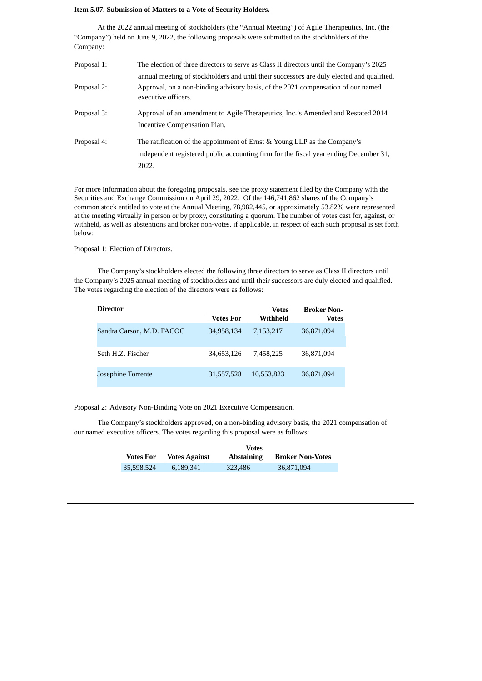### **Item 5.07. Submission of Matters to a Vote of Security Holders.**

At the 2022 annual meeting of stockholders (the "Annual Meeting") of Agile Therapeutics, Inc. (the "Company") held on June 9, 2022, the following proposals were submitted to the stockholders of the Company:

| Proposal 1: | The election of three directors to serve as Class II directors until the Company's 2025                                                                                     |
|-------------|-----------------------------------------------------------------------------------------------------------------------------------------------------------------------------|
|             | annual meeting of stockholders and until their successors are duly elected and qualified.                                                                                   |
| Proposal 2: | Approval, on a non-binding advisory basis, of the 2021 compensation of our named<br>executive officers.                                                                     |
| Proposal 3: | Approval of an amendment to Agile Therapeutics, Inc.'s Amended and Restated 2014<br>Incentive Compensation Plan.                                                            |
| Proposal 4: | The ratification of the appointment of Ernst & Young LLP as the Company's<br>independent registered public accounting firm for the fiscal year ending December 31,<br>2022. |

For more information about the foregoing proposals, see the proxy statement filed by the Company with the Securities and Exchange Commission on April 29, 2022. Of the 146,741,862 shares of the Company's common stock entitled to vote at the Annual Meeting, 78,982,445, or approximately 53.82% were represented at the meeting virtually in person or by proxy, constituting a quorum. The number of votes cast for, against, or withheld, as well as abstentions and broker non-votes, if applicable, in respect of each such proposal is set forth below:

Proposal 1: Election of Directors.

The Company's stockholders elected the following three directors to serve as Class II directors until the Company's 2025 annual meeting of stockholders and until their successors are duly elected and qualified. The votes regarding the election of the directors were as follows:

| <b>Director</b>           |                  | <b>Votes</b> | <b>Broker Non-</b> |
|---------------------------|------------------|--------------|--------------------|
|                           | <b>Votes For</b> | Withheld     | <b>Votes</b>       |
| Sandra Carson, M.D. FACOG | 34,958,134       | 7,153,217    | 36,871,094         |
| Seth H.Z. Fischer         | 34,653,126       | 7.458.225    | 36,871,094         |
| Josephine Torrente        | 31,557,528       | 10,553,823   | 36,871,094         |

Proposal 2: Advisory Non-Binding Vote on 2021 Executive Compensation.

The Company's stockholders approved, on a non-binding advisory basis, the 2021 compensation of our named executive officers. The votes regarding this proposal were as follows:

|                  | <b>Votes</b>         |                   |                         |
|------------------|----------------------|-------------------|-------------------------|
| <b>Votes For</b> | <b>Votes Against</b> | <b>Abstaining</b> | <b>Broker Non-Votes</b> |
| 35,598,524       | 6,189,341            | 323,486           | 36,871,094              |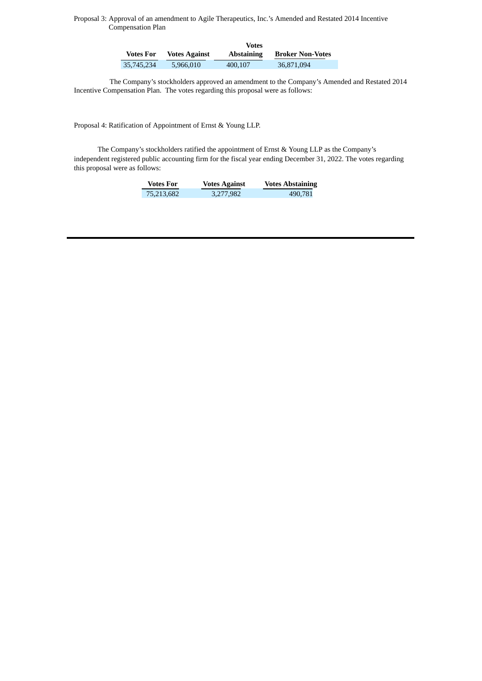Proposal 3: Approval of an amendment to Agile Therapeutics, Inc.'s Amended and Restated 2014 Incentive Compensation Plan

|            | Votes                |                   |                         |
|------------|----------------------|-------------------|-------------------------|
| Votes For  | <b>Votes Against</b> | <b>Abstaining</b> | <b>Broker Non-Votes</b> |
| 35,745,234 | 5.966.010            | 400.107           | 36,871,094              |

The Company's stockholders approved an amendment to the Company's Amended and Restated 2014 Incentive Compensation Plan. The votes regarding this proposal were as follows:

Proposal 4: Ratification of Appointment of Ernst & Young LLP.

The Company's stockholders ratified the appointment of Ernst & Young LLP as the Company's independent registered public accounting firm for the fiscal year ending December 31, 2022. The votes regarding this proposal were as follows:

| <b>Votes For</b> | <b>Votes Against</b> | <b>Votes Abstaining</b> |
|------------------|----------------------|-------------------------|
| 75,213,682       | 3,277,982            | 490,781                 |